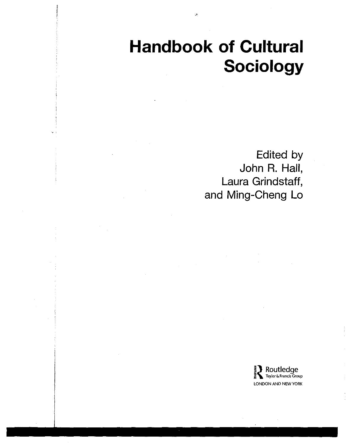# **Handbook of Cultural Sociology**

 $\mathcal{P}$ 

**Edited by John R. Hall, Laura Grindstaff, and Ming-Cheng Lo**

> $\sum_{\text{a}}^{\text{g}}$  Routledge LONDON AND NEW YORK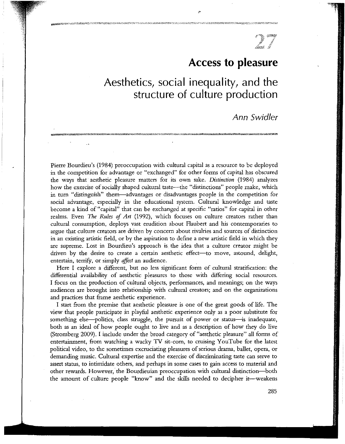## **Access to pleasure**

# **Aesthetics, social inequality, and the structure of culture production**

## *Ann Swidler*

Pierre Bourdieu's (1984) preoccupation with cultural capital as a resource to be deployed in the competition for advantage or "exchanged" for other forms of capital has obscured the ways that aesthetic pleasure matters for its own sake. *Distinction* (1984) analyzes how the exercise of socially shaped cultural taste—the "distinctions" people make, which in tum "distinguish" them-advantages or disadvantages people in the competition for social advantage, especially in the educational system. Cultural knowledge and taste become a kind of"capital" that can be exchanged at specific "ratios" for capital in other realms. Even *The Rules of Art* (1992), which focuses on culture creators rather than cultural consumption, deploys vast erudition about Flaubert and his contemporaries to argue that culture creators are driven by concern about rivalries and sources of distinction in an existing artistic field, or by the aspiration to define a new artistic field in which they are supreme. Lost in Bourdieu's approach is. the idea that a culture creator might be driven by the desire to create a certain aesthetic effect-to move, astound, delight, entertain, terrify, or simply *affect* an audience.

Here I explore a different, but no less significant form of cultural stratification: the differential availability of aesthetic pleasures to those with differing social resources. I focus on the production of cultural objects, performances, and meanings; on the ways audiences are brought into relationship with cultural creators; and on the organizations and practices that frame aesthetic experience.

I start from the premise that aesthetic pleasure is one of the great goods of life. The view that people participate in playful aesthetic experience only as a poor substitute for something else--politics, class struggle, the pursuit of power or status--is inadequate, both as an ideal of how people ought to live and as a description of how they do live (Stromberg 2009). I include under the broad category of "aesthetic pleasure" all forms of entertainment, from watching a wacky TV sit-com, to cruising YouTube for the latest political video, to the sometimes excruciating pleasures of serious drama, ballet, opera, or demanding music. Cultural expertise and the exercise of discriminating taste can serve to assert status, to intimidate others, and perhaps in some cases to gain access to material and other rewards. However, the Bourdieuian preoccupation with cultural distinction-both the amount of culture people "know" and the skills needed to decipher it-weakens

285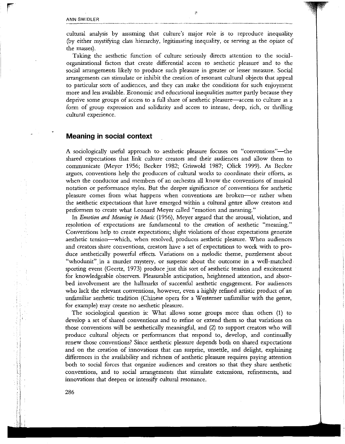cultural analysis by assuming that culture's major role is to reproduce inequality (by either mystifYing class hierarchy, legitimating inequality, or serving as the opiate of the masses).

Taking the aesthetic function of culture seriously directs attention to the socialorganizarional factors that create differential access to aesthetic pleasure and to the social arrangements likely to produce such pleasure in greater or lesser measure. Social arrangements can stimulate or inhibit the creation of resonant cultural objects that appeal to particular sorts of audiences, and they can make the conditions for such enjoyment more and less available. Economic and educational inequalities matter partly because they deprive some groups of access to a full share of aesthetic pleasure--access to culture as a form of group expression and solidarity and access to intense, deep, rich, or thrilling cultural experience.

#### **Meaning in social context**

A sociologically useful approach to aesthetic pleasure focuses on "conventions"-the shared expectations that link culture creators and their audiences and allow them to communicate (Meyer 1956; Becker 1982; Griswold 1987; Glick 1999). As Becker argues, conventions help the producers of cultural works to coordinate their efforts, as when the conductor and members of an orchestra all know the conventions of musical notation or performance styles. But the deeper significance of conventions for aesthetic pleasure comes from what happens when conventions are broken---- or rather when the aesthetic expectations that have emerged within a cultural genre allow creators and performers to create what Leonard Meyer called "emotion and meaning."

In *Emotion and Meaning in Music* (1956), Meyer argued that the arousal, violation, and resolution of expectations are fundamental to the creation of aesthetic "meaning." Conventions help to create expectations; slight violations of those expectations generate aesthetic tension-which, when resolved, produces aesthetic pleasure. When audiences and creators share conventions, creators have a set of expectations to work with to produce aesthetically powerful effects. Variations on a melodic theme, puzzlement about "whodunit". in a murder mystery, or suspense about the outcome in a well-matched sporting event (Geertz, 1973) produce just this sort of aesthetic tension and excitement for knowledgeable observers. Pleasurable anticipation, heightened attention, and absorbed involvement are the hallmarks of successful aesthetic engagement. For audiences who lack the relevant conventions, however, even a highly refmed artistic product of an unfamiliar aesthetic tradition (Chinese opera for a Westerner unfamiliar with the genre, for example) may create no aesthetic pleasure.

The sociological question is: What allows some groups more than others (1) to develop a set of shared conventions and to refine or extend them so that variations on those conventions will be aesthetically meaningful, and (2) to support creators who will produce cultural objects or performances that respond to, develop, and continually renew those conventions? Since aesthetic pleasure depends both on shared expectations and on the creation of innovations that can surprise, unsetde, and delight, explaining differences in the availability and richness of aesthetic pleasure requires paying attention both to social forces that organize audiences and creators so that they share aesthetic conventions, and to social arrangements that stimulate extensions, refmements, and innovations that deepen or intensify cultural resonance.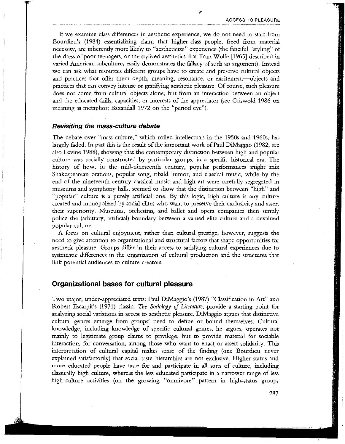If we examine class differences in aesthetic experience, we do not need to start from Bourdieu's (1984) essentializing claim that higher-class people, freed from material necessity, are inherently more likely to "aestheticize" experience (the fanciful "styling" of the dress of poor teenagers, or the stylized aesthetics that Tom Wolfe [1965] described in varied American subcultures easily demonstrates the fallacy of such an argument). Instead we can ask what resources different groups have to create and preserve cultural objects and practices that offer them depth, meaning, resonance, or excitement-objects and practices that can convey intense or gratifying aesthetic pleasure. Of course, such pleasure does not come from cultural objects alone, but from an interaction between an object and the educated skills, capacities, or interests of the appreciator (see Griswold 1986 on meaning as metaphor; Baxandall 1972 on the "period eye").

#### **Revisiting the mass-culture debate**

The debate over "mass culture," which roiled intellectuals in the 1950s and 1960s, has largely faded. In part this is the result of the important work of Paul DiMaggio (1982; see also Levine 1988), showing that the contemporaty distinction between high and popular culture was socially constructed by particular groups, in a specific historical era. The history of how, in the mid-nineteenth century, popular performances might mix Shakespearean orations, popular song, ribald humor, and classical music, while by the end of the nineteenth century classical music and high art were carefully segregated in museums and symphony halls, seemed to show that the distinction between "high" and "popular" culture is a purely artificial one. By this logic, high culture is any culture created and monopolized by social elites who want to preserve their exclusivity and assert their superiority. Museums, orchestras, and ballet and opera companies then simply police the (arbitraty, artificial) boundary between a valued elite culture and a devalued popular culture.

A focus on cultural enjoyment, rather than cultural prestige, however, suggests the need to give attention to organizational and structural factors that shape opportunities for aesthetic pleasure. Groups differ in their access to satisfying cultural experiences due to systematic differences in the organization of cultural production and the structures that link potential audiences to culture creators.

#### **Organizational bases for cultural pleasure**

Two major, under-appreciated texts: Paul DiMaggio's (1987) "Classification in Art" and Robert Escarpit's (1971) classic, *The Sociology* if *Literature,* provide <sup>a</sup> starting point for analyzing social variations in access to aesthetic pleasure. DiMaggio argues that distinctive cultural genres emerge from groups' need to define or bound themselves. Cultural knowledge, including knowledge of specific cultural genres, he argues, operates not mainly to legitimate group claims to privilege, but to provide material for sociable interaction, for conversation, among those who want to enact or assert solidarity. This interpretation of cultural capital makes sense of the fmding (one Bourdieu never explained satisfactorily) that social taste hierarchies are not exclusive. Higher status and more educated people have taste for and participate in all sorts of culture, including classically high culture, whereas the less educated participate in a narrower range of less high-culture activities (on the growing "omnivore" pattern in high-status groups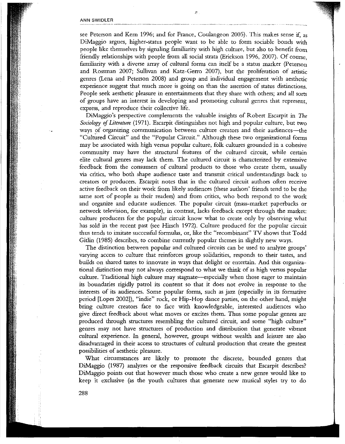#### ANN SWIDLER

see Peterson and Kern 1996; and for France, Coulangeon 2005). This makes sense if, as DiMaggio argues, higher-status people want to be able to form sociable bonds with people like themselves by signaling familiarity with high culture, but also to benefit from friendly relationships with people from all social strata (Erickson 1996, 2007). Of course, familiarity with a diverse array of cultural forms can itself be a status marker (peterson and Rossman 2007; Sullivan and Katz-Gerro 2007), but the proliferation of artistic genres (Lena and Peterson 2008) and group and individual engagement with aesthetic experience suggest that much more is going on than the assertion of status distinctions. People seek aesthetic pleasure in entertainments that they share with others; and all sorts of groups have an interest in developing and promoting cultural genres that represent, express, and reproduce their collective life.

DiMaggio's perspective complements the valuable insights of Robert Escarpit in *The Sociology of Literature* (1971). Escarpit distinguishes not high and popular culture, but two ways of organizing communication between culture creators and their audiences—the "Cultured Circuit" and the "Popular Circuit." Although these two organizational forms may be associated with high versus popular culture, folk cultures grounded in a cohesive community may have the structural features of the cultured circuit, while certain elite cultural genres may lack them. The cultured circuit is characterized by extensive feedback from the consumers of cultural products to those who create them, usually via critics, who both shape audience taste and transmit critical understandings back to creators or producers. Escarpit notes that in the cultured circuit authors often receive active feedback on their work from likely audiences (these authors' friends tend to be the same sort of people as their readers) and from critics, who both respond to the work and organize and educate audiences. The popular circuit (mass-market paperbacks or network television, for example), in contrast, lacks feedback except through the market; culture producers for the popular circuit know what to create only by observing what has sold in the recent past (see Hirsch 1972). Culture produced for the popular circuit thus tends to imitate successful formulas, or, like the "recombinant" TV shows that Todd Gitlin (1985) describes, to combine currendy popular themes in slighdy new ways.

The distinction between popular and cultured circuits can be used to analyze groups' varying access to culture that reinforces group solidarities, responds to their tastes, and builds on shared tastes to innovate in ways that delight or entertain. And this organizational distinction may not always correspond to what we think of as high versus popular culture. Traditional high culture may stagnate--especially when those eager to maintain its boundaries rigidly patrol its content so that it does not evolve in response to the interests of its audiences. Some popular forms, such as jazz (especially in its formative period [Lopes 2002]), "indie" rock, or Hip-Hop dance parties, on the other hand, might bring culture creators face to face with knowledgeable, interested audiences who give direct feedback about what moves or excites them. Thus some popular genres are produced through structures resembling the cultured circuit, and some "high culture" genres may not have structures of production and distribution that generate vibrant cultural experience. In general, however, groups without wealth and leisure are also disadvantaged in their access to structures of cultural production that create the greatest possibilities of aesthetic pleasure.

What circumstances are likely to promote the discrete, bounded genres that DiMaggio (1987) analyzes or the responsive feedback circuits that Escarpit describes? DiMaggio points out that however much those who create a new genre would like to keep it exclusive (as the youth cultures that generate new musical styles try to do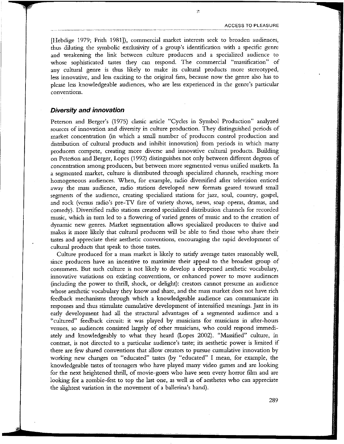[Hebdige 1979; Frith 1981]), commercial market interests seek to broaden audiences, thus diluting the symbolic exclusivity of a group's identification with a specific genre and weakening the link between culture producers and a specialized audience to whose sophisticated tastes they can respond. The commercial "massification" of any cultural genre is thus likely to make its cultural products more stereotyped, less innovative, and less exciting to the original fans, because now the genre also has to please less knowledgeable audiences, who are less experienced in the genre's particular **conventions.**

 $\mathcal{L}$ 

#### **Diversity and innovation**

Peterson and Berger's (1975) classic article "Cycles in Symbol Production" analyzed sources of innovation and diversity in culture production. They distinguished periods of market concentration (in which a small number of producers control production and distribution of cultural products and inhibit innovation) from periods in which many producers compete, creating more diverse and innovative cultural products. Building on Peter;;on and Berger, Lopes (1992) distinguishes not only between different degrees of concentration among producers, but between more segmented versus unified markets. In a segmented market, culture is distributed through specialized channels, reaching more homogeneous audiences. When, for example, radio diversified after television enticed away the mass audience, radio stations developed new formats geared toward small segments of the audience, creating specialized stations for jazz, soul, country, gospel, and rock (versus radio's pre-TV fare of variety shows, news, soap operas, dramas, and comedy). Diversified radio stations created specialized distribution channels for recorded music, which in tum led to a flowering of varied genres of music and to the creation of dynamic new genres. Market segmentation allows specialized producers to thrive and makes it more likely that cultural producers will be able to find those who share their tastes and appreciate their aesthetic conventions, encouraging the rapid development of cultural products that speak to those tastes.

Culture produced for a mass market is likely to satisfy average tastes reasonably well, since producers have an incentive to maximize their appeal to the broadest group of consumers. But such culture is not likely to develop a deepened aesthetic vocabulary, **innovative variations on existing conventions, or enhanced power to move audiences** (including the power to thrill, shock, or delight): creators cannot presume an audience whose aesthetic vocabulary they know and share, and the mass market does not have rich feedback mechanisms through which a knowledgeable audience can communicate its responses and thus stimulate cumulative development of intensified meanings. Jazz in its early development had all the structural advantages of a segmented audience and a "cultured" feedback circuit: it was played by musicians for musicians in after-hours venues, so audiences consisted largely of other musicians, who could respond immediately and knowledgeably to what they heard (Lopes 2002). "Massified" culture, in contrast, is not directed to a particular audience's taste; its aesthetic power is limited if there are few shared conventions that allow creators to pursue cumulative innovation by working new changes on "educated" tastes (by "educated" I mean, for example, the knowledgeable tastes of teenagers who have played many video games and are looking for the next heightened thrill, of movie-goers who have seen every horror film and are looking for a zombie-fest to top the last one, as well as of aesthetes who can appreciate the slightest variation in the movement of a ballerina's hand).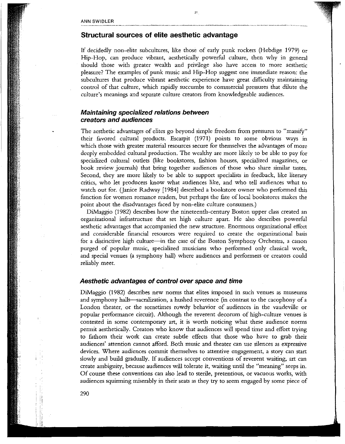#### **Structural sources of elite aesthetic advantage**

If decidedly non-elite subcultures, like those of early punk rockers (Hebdige 1979) or Hip-Hop, can produce vibrant, aesthetically powerful culture, then why in general should those with greater wealth and privilege also have access to more aesthetic pleasure? The examples of punk music and Hip-Hop suggest one immediate reason: the subcultures that produce vibrant aesthetic experience have great difficulty maintaining control of that culture, which rapidly succumbs to commercial pressures that dilute the culture's meanings and separate culture creators from knowledgeable audiences.

 $\mathbb{R}^n$ 

#### **Maintaining specialized relations between creators and audiences**

The aesthetic advantages of elites go beyond simple freedom from pressures to "massify" their favored cultural products. Escarpit (1971) points to some obvious ways in which those with greater material resources secure for themselves the advantages of more deeply embedded cultural production. The wealthy are more likely to be able to pay for specialized cultural outlets (like bookstores, fashion houses, specialized magazines, or book review journals) that bring together audiences of those who share similar tastes. Second, they are more likely to be able to support specialists in feedback, like literary critics, who let producers know what audiences like, and who tell audiences what to watch out for. (Janice Radway [1984] described a bookstore owner who performed this function for women romance readers, but perhaps the fate of local bookstores makes the point about the disadvantages faced by non-elite culture consumers.)

DiMaggio (1982) describes how the nineteenth-century Boston upper class created an organizational infrastructure that set high culture apart. He also describes powerful aesthetic advantages that accompanied the new structure. Enormous organizational effort and considerable financial resources were required to create the organizational basis for a distinctive high culture—in the case of the Boston Symphony Orchestra, a canon purged of popular music, specialized musicians who performed only classical work, and special venues (a symphony hall) where audiences and performers or creators could reliably meet.

#### **Aesthetic advantages of control over space and time**

DiMaggio (1982) describes new norms that elites imposed in such venues as museums and symphony halls-sacralization, a hushed reverence (in contrast to the cacophony of a London theater, or the sometimes rowdy behavior of audiences in the vaudeville or popular performance circuit). Although the reverent decorum of high-culture venues is contested in some contemporary art, it is worth noticing what these audience norms permit aesthetically. Creators who know that audiences will spend time and effort trying to fathom their work can create subtle effects that those who have to grab their audiences' attention cannot afford. Both music and theater can use silences as expressive devices. Where audiences commit themselves to attentive engagement, a story can start slowly and build gradually. If audiences accept conventions of reverent waiting, art can create ambiguity, because audiences will tolerate it, waiting until the "meaning" seeps in. Of course these conventions can also lead to sterile, pretentious, or vacuous works, with audiences squirming miserably in their seats as they try to seem engaged by some piece of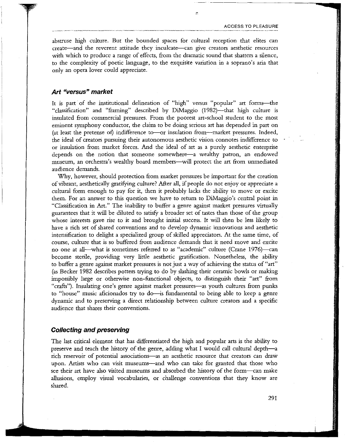------------.-

abstruse high culture. But the bounded spaces for cultural reception that elites can create-and the reverent attitude they inculcate-can give creators aesthetic resources with which to produce a range of effects, from the dramatic sound that shatters a silence, to the complexity of poetic language, to the exquisite variation in a soprano's aria that only an opera lover could appreciate.

#### **Art "versus" market**

It is part of the institutional delineation of "high" versus "popular" art forms-the "classification" and "framing" described by DiMaggio (1982)—that high culture is insulated from commercial pressures. From the poorest art-school student to the most eminent symphony conductor, the claim to be doing serious art has depended in part on (at least the pretense of) indifference to-or insulation from---market pressures. Indeed, the ideal of creators pursuing their autonomous aesthetic vision connotes indifference to or insulation from market forces. And the ideal of art as a purely aesthetic enterprise depends on the notion that someone somewhere-a wealthy patron, an endowed museum, an orchestra's wealthy board members--will protect the art from unmediated audience demands.

Why, however, should protection from market pressures be important for the creation of vibrant, aesthetically gratifying culture? After all, if people do not enjoy or appreciate a cultural fonn enough to pay for it, then it probably lacks the ability to move or excite them. For an answer to this question we have to return to DiMaggio's central point in "Classification in Art." The inability to buffer a genre against market pressures virtually guarantees that it will be diluted to satisfy a broader set of tastes than those of the group whose interests gave rise to it and brought initial success. It will then be less likely to have a rich set of shared conventions and to develop dynamic innovations and aesthetic intensification to delight a specialized group of skilled appreciators. At the same time, of course, culture that is so buffered from audience demands that it need move and excite no one at all-what is sometimes referred to as "academic" culture (Crane 1976)-can become sterile, providing very little aesthetic gratification. Nonetheless, the ability to buffer a genre against market pressures is not just a way of achieving the status of "art" (as Becker 1982 describes potters trying to do by slashing their ceramic bowls or making impossibly large or otherwise non-functional objects, to distinguish their "art" from "crafts"). Insulating one's genre against market pressures-as youth cultures from punks to "house" music aficionados try to do-is fundamental to being able to keep a genre dynamic and to preserving a direct relationship between culture creators and a specific audience that shares their conventions.

#### **Collecting and preserving**

The last critical element that has differentiated the high and popular arts is the ability to preserve and teach the history of the genre, adding what I would call cultural depth-a rich reservoir of potential associations-as an aesthetic resource that creators can draw upon. Artists who can visit museums-and who can take for granted that those who see their art have also visited museums and absorbed the history of the fonn-can make allusions, employ visual vocabularies, or challenge conventions that they know are shared.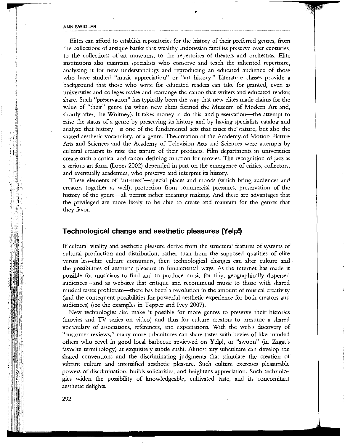#### ANN SWIDLER

Elites can afford to establish repositories for the history of their preferred genres, from the collections of antique batiks that wealthy Indonesian families preserve over centuries, to the collections of art museums, to the repertoires of theaters and orchestras. Elite institutions also maintain specialists who conserve and teach the inherited repertoire, analyzing it for new understandings and reproducing an educated audience of those who have studied "music appreciation" or "art history." Literature classes provide a background that those who write for educated readers can take for granted, even as universities and colleges revise and rearrange the canon that writers and educated readers share. Such "preservation" has typically been the way that new elites made claims for the value of "their" genre (as when new elites formed the Museum of Modem Art and, shortly after, the Whitney). It takes money to do this, and preservation—the attempt to raise the status of a genre by preserving its history and by having specialists catalog and analyze that history-is one of the fundamental acts that raises the stature, but also the shared aesthetic vocabulary, of a genre. The creation of the Academy of Motion Picture Arts and Sciences and the Academy of Television Arts and Sciences were attempts by .cultural creators to raise the stature of their products. Film departments in universities create such a critical and canon-defining function for movies. The recognition of jazz as a serious art form (Lopes 2002) depended in part on the emergence of critics, collectors, and eventually academics, who preserve and interpret its history.

These elements of "art-ness"-special places and moods (which bring audiences and creators together as well), protection from commercial pressures, preservation of the history of the genre-all *permit* richer meaning making. And these are advantages that the privileged are more likely to be able to create and maintain for the genres that they favor.

### **Technological change and aesthetic pleasures (Yelp!)**

If cultural vitality and aesthetic pleasure derive from the structural features of systems of cultural production and distribution, rather than from the supposed qualities of elite versus less-elite culture consumers, then technological changes can alter culture and the possibilities of aesthetic pleasure in fundamental ways. As the internet has made it possible for musicians to find and to produce music for tiny, geographically dispersed audiences--and as websites that critique and recommend music to those with shared musical tastes proliferate—there has been a revolution in the amount of musical creativity (and the consequent possibilities for powerful aesthetic experience for both creators and audiences) (see the examples in Tepper and Ivey 2007).

New technologies also make it possible for more genres to preserve their histories (movies and TV series on video) and thus for culture creators to presume a shared vocabulary of associations, references, and expectations. With the web's discovery of "customer reviews," many more subcultures can share tastes with bevies of like-minded others who revel in good local barbecue reviewed on Yelp!, or "swoon" (in Zagat's favorite terminology) at exquisitely subtle sushi. Almost any subculture can develop the shared conventions and the discriminating judgments that stimulate the creation of vibrant culture and intensified aesthetic pleasure. Such culture exercises pleasurable powers of discrimination, builds solidarities, and heightens appreciation. Such technologies widen the possibility of knowledgeable, cultivated taste, and its· concomitant aesthetic delights.

292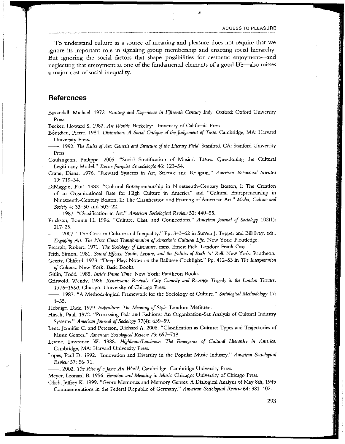To understand culture as a source of meaning and pleasure does not require that we ignore its important role in signaling group membership and enacting social hierarchy. But ignoring the social factors that shape possibilities for aesthetic enjoyment-and neglecting that enjoyment as one of the fundamental elements of a good life—also misses a major cost of social inequality.

#### **References**

**Baxandall, Michael. 1972.** *Painting and Experience in Fifteenth Century Italy.* **Oxford: Oxford University Press.**

**Becker, Howard S. 1982.** *Art Worlds.* **Berkeley: University of California Press.**

**Bourdieu, Pierre. 1984.** *Distinction: A Social Critique* **if***the Judgement of Taste.* **Cambridge, MA: Harvard University Press.**

--. 1992. The *Rules* of*Art: Genesis and Structure ofthe Literary Field.* Stanford, CA: Stanford University **Press.**

**Coulangeon, Philippe. 2005. "Social StratifiCation of Musical Tastes: Questioning the Cultural Legitimacy Model."** *Revueftanfaise de sociologie* **46: 123-54.**

**Crane, Diana. 1976. "Reward Systems in Art, Science and Religion."** *Amen'can Behavioral Scientist* 19: 719-34.

**DiMaggio, PauL 1982. "Cultural Entrepreneurship in Nineteenth-Century Boston, 1: The Creation of an Organizational Base for High Culture in America" and "Cultural Entrepreneurship in Nineteenth-Century Boston, II: The Classification and Framing ofAmerican Art."** *Media, Culture and Society* 4: 33-50 and 303-22.

--. **1987. "ClassifICation in Art."** *American Sociological Review* **52: 440-55.**

**Erickson, Bonnie H. 1996. "Culture, Class, and Connections."** *American Journal* **if** *Sociology 102(1):* 217-25.

--.2007. "The Crisis in Culture and Inequality." Pp. 343-62 in Steven]. Tepper and Bill Ivey, eds., *Engaging Art:* **The** *Next Great TranifOrmation* **of***America'sCultural Life·* **New York: Routledge.**

**Escarpit, Robert. 1971. The** *Sociology* **of** *Literature,* **trans. Ernest Pick. London: Frank Casso**

**Frith, Simon. 1981.** *Sound Efficts: Youth, Leisure, and the Politics* **if***Rock tn' Roll.* **New York: Pantheon.** Geertz, Clifford. 1973. "Deep Play: Notes on the Balinese Cockfight." Pp. 412-53 in The *Interpretation* **of** *Cultures.* **New York: Basic Books.**

Gitlin, Todd. 1985. *Inside Prime Time.* New York: Pantheon Books.

**Griswold, Wendy. 1986.** *Renaissance Revivals: City Comedy and Revenge Tragedy in the London Theatre, 1576-1980.* Chicago: University of Chicago Press.

--. 1987. "A Methodological Framework for the Sociology of Culture." *Sociological Methodology 17:* 1-35.

Hebclige, Dick. 1979. *Subculture:* The *Meaning* of *Style.* London: Methuen.

Hirsch, Paul. 1972. "Processing Fads and Fashions: An Organization-Set Analysis of Cultural Industry Systems." *American Journal* of *Sociology* 77(4): 639-59.

**Lena, Jennifer C. and Peterson, Richard A. 2008. "Classification as Culture: Types and Trajectories of Music Genres."** *American Sociological Review* **73: 697-718.**

**Levine, Lawrence W. 1988.** *Highbrow/Lowbrow:* **The** *Emergence of Cultural Hierarchy in America.* Cambridge, MA: Harvard University Press.

**Lopes, Paul D. 1992. "Innovation and Diversity in the Popular Music Industry."** *American Sociological Review* 57: 56-71.

--. 2002. The *Rise of aJazz Art World.* Cambridge: Cambridge University Press.

**Meyer, Leonard B. 1956.** *Emotion and Meaning in Music.* **Chicago: University of Chicago Press.**

Olick, Jeffrey K. 1999. "Genre Memories and Memory Genres: A Dialogical Analysis of May 8th, 1945 **Commemorations in the Federal Republic of Germany."** *American Sociological Review* **64: 381-402.**

293